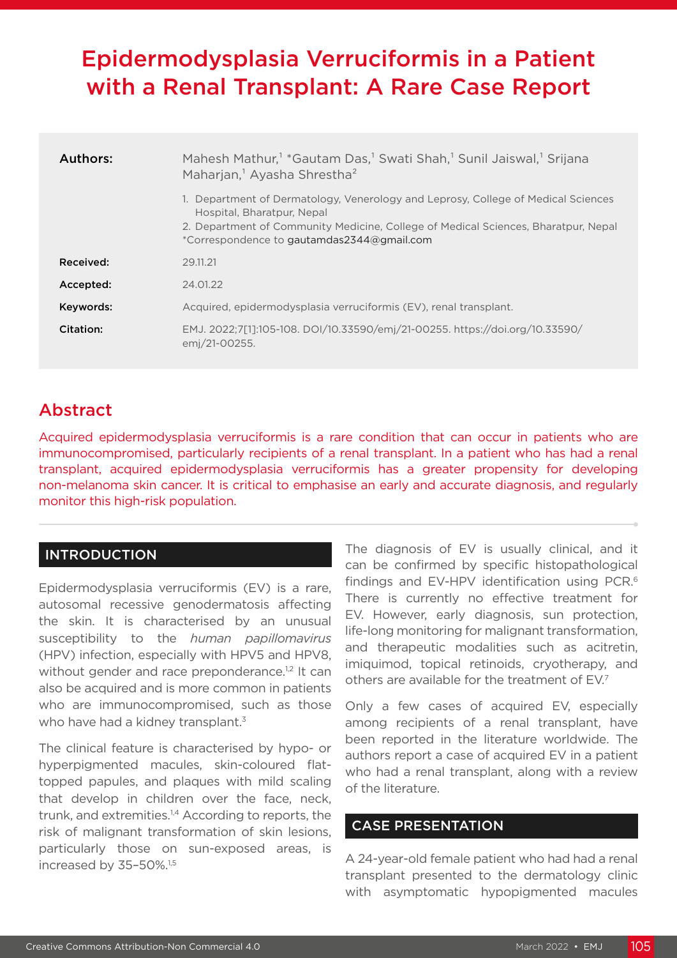# Epidermodysplasia Verruciformis in a Patient with a Renal Transplant: A Rare Case Report

| Authors:  | Mahesh Mathur, <sup>1</sup> *Gautam Das, <sup>1</sup> Swati Shah, <sup>1</sup> Sunil Jaiswal, <sup>1</sup> Srijana<br>Maharjan, <sup>1</sup> Ayasha Shrestha <sup>2</sup>                                                                           |
|-----------|-----------------------------------------------------------------------------------------------------------------------------------------------------------------------------------------------------------------------------------------------------|
|           | 1. Department of Dermatology, Venerology and Leprosy, College of Medical Sciences<br>Hospital, Bharatpur, Nepal<br>2. Department of Community Medicine, College of Medical Sciences, Bharatpur, Nepal<br>*Correspondence to gautamdas2344@gmail.com |
| Received: | 29.11.21                                                                                                                                                                                                                                            |
| Accepted: | 24.01.22                                                                                                                                                                                                                                            |
| Keywords: | Acquired, epidermodysplasia verruciformis (EV), renal transplant.                                                                                                                                                                                   |
| Citation: | EMJ. 2022;7[1]:105-108. DOI/10.33590/emj/21-00255. https://doi.org/10.33590/<br>emj/21-00255.                                                                                                                                                       |

## Abstract

Acquired epidermodysplasia verruciformis is a rare condition that can occur in patients who are immunocompromised, particularly recipients of a renal transplant. In a patient who has had a renal transplant, acquired epidermodysplasia verruciformis has a greater propensity for developing non-melanoma skin cancer. It is critical to emphasise an early and accurate diagnosis, and regularly monitor this high-risk population.

### INTRODUCTION

Epidermodysplasia verruciformis (EV) is a rare, autosomal recessive genodermatosis affecting the skin. It is characterised by an unusual susceptibility to the *human papillomavirus* (HPV) infection, especially with HPV5 and HPV8, without gender and race preponderance.<sup>1,2</sup> It can also be acquired and is more common in patients who are immunocompromised, such as those who have had a kidney transplant.<sup>3</sup>

The clinical feature is characterised by hypo- or hyperpigmented macules, skin-coloured flattopped papules, and plaques with mild scaling that develop in children over the face, neck, trunk, and extremities.<sup>1,4</sup> According to reports, the risk of malignant transformation of skin lesions, particularly those on sun-exposed areas, is increased by 35-50%.<sup>1,5</sup>

The diagnosis of EV is usually clinical, and it can be confirmed by specific histopathological findings and EV-HPV identification using PCR.6 There is currently no effective treatment for EV. However, early diagnosis, sun protection, life-long monitoring for malignant transformation, and therapeutic modalities such as acitretin, imiquimod, topical retinoids, cryotherapy, and others are available for the treatment of EV.7

Only a few cases of acquired EV, especially among recipients of a renal transplant, have been reported in the literature worldwide. The authors report a case of acquired EV in a patient who had a renal transplant, along with a review of the literature.

#### CASE PRESENTATION

A 24-year-old female patient who had had a renal transplant presented to the dermatology clinic with asymptomatic hypopigmented macules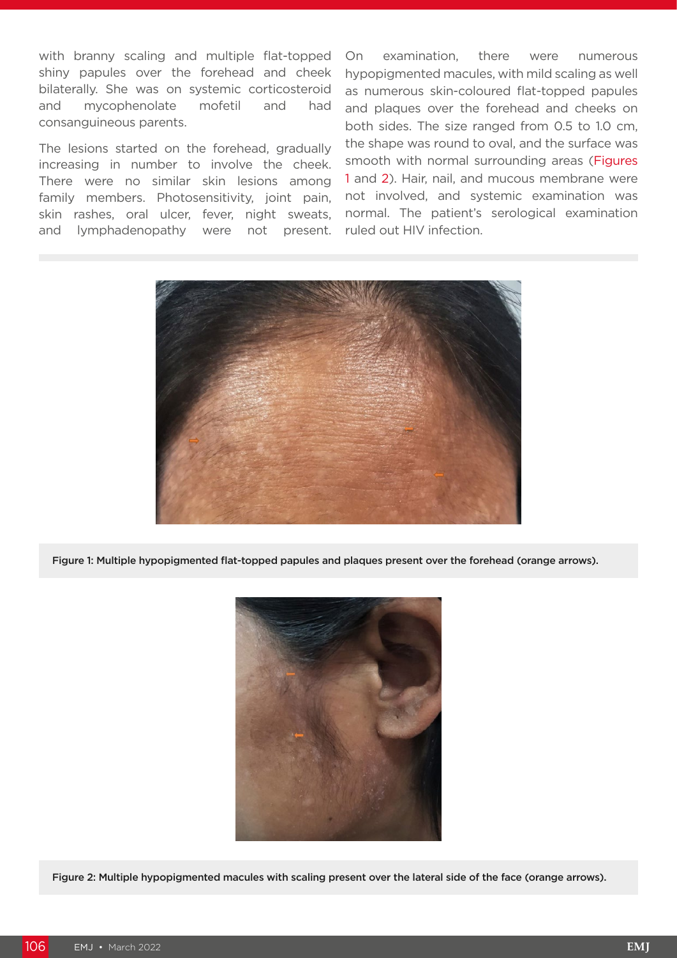with branny scaling and multiple flat-topped shiny papules over the forehead and cheek bilaterally. She was on systemic corticosteroid and mycophenolate mofetil and had consanguineous parents.

The lesions started on the forehead, gradually increasing in number to involve the cheek. There were no similar skin lesions among family members. Photosensitivity, joint pain, skin rashes, oral ulcer, fever, night sweats, and lymphadenopathy were not present.

On examination, there were numerous hypopigmented macules, with mild scaling as well as numerous skin-coloured flat-topped papules and plaques over the forehead and cheeks on both sides. The size ranged from 0.5 to 1.0 cm, the shape was round to oval, and the surface was smooth with normal surrounding areas (Figures 1 and 2). Hair, nail, and mucous membrane were not involved, and systemic examination was normal. The patient's serological examination ruled out HIV infection.



Figure 1: Multiple hypopigmented flat-topped papules and plaques present over the forehead (orange arrows).



Figure 2: Multiple hypopigmented macules with scaling present over the lateral side of the face (orange arrows).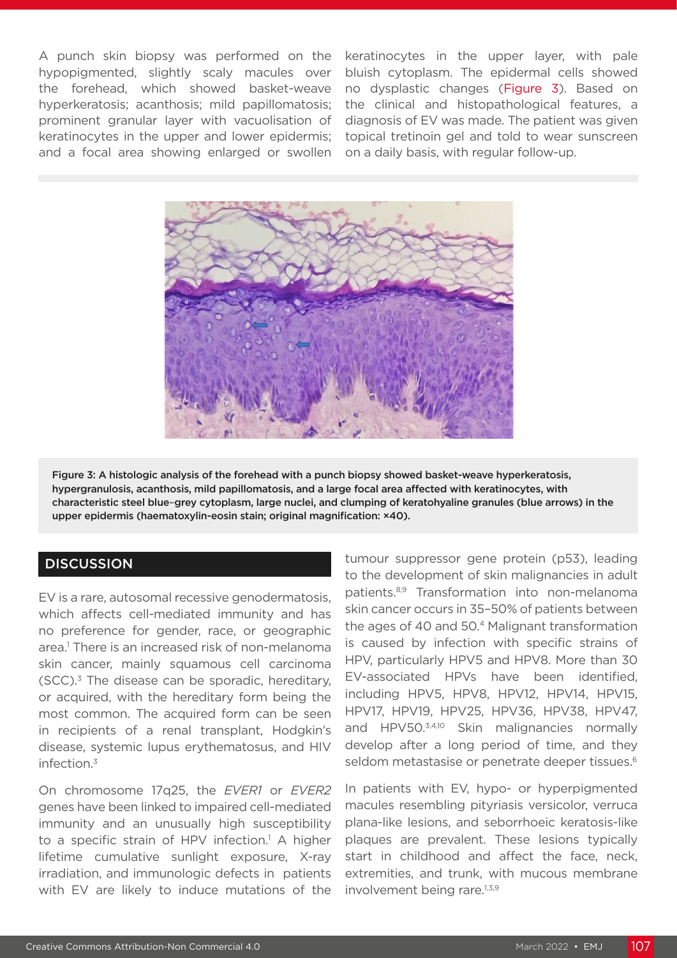A punch skin biopsy was performed on the hypopigmented, slightly scaly macules over the forehead, which showed basket-weave hyperkeratosis; acanthosis; mild papillomatosis; prominent granular layer with vacuolisation of keratinocytes in the upper and lower epidermis; and a focal area showing enlarged or swollen keratinocytes in the upper layer, with pale bluish cytoplasm. The epidermal cells showed no dysplastic changes (Figure 3). Based on the clinical and histopathological features, a diagnosis of EV was made. The patient was given topical tretinoin gel and told to wear sunscreen on a daily basis, with regular follow-up.



Figure 3: A histologic analysis of the forehead with a punch biopsy showed basket-weave hyperkeratosis, hypergranulosis, acanthosis, mild papillomatosis, and a large focal area affected with keratinocytes, with characteristic steel blue–grey cytoplasm, large nuclei, and clumping of keratohyaline granules (blue arrows) in the upper epidermis (haematoxylin-eosin stain; original magnification: ×40).

#### **DISCUSSION**

EV is a rare, autosomal recessive genodermatosis, which affects cell-mediated immunity and has no preference for gender, race, or geographic area.1 There is an increased risk of non-melanoma skin cancer, mainly squamous cell carcinoma  $(SCC).$ <sup>3</sup> The disease can be sporadic, hereditary, or acquired, with the hereditary form being the most common. The acquired form can be seen in recipients of a renal transplant, Hodgkin's disease, systemic lupus erythematosus, and HIV infection.3

On chromosome 17q25, the *EVER1* or *EVER2* genes have been linked to impaired cell-mediated immunity and an unusually high susceptibility to a specific strain of HPV infection.<sup>1</sup> A higher lifetime cumulative sunlight exposure, X-ray irradiation, and immunologic defects in patients with EV are likely to induce mutations of the

tumour suppressor gene protein (p53), leading to the development of skin malignancies in adult patients.8,9 Transformation into non-melanoma skin cancer occurs in 35–50% of patients between the ages of 40 and 50.4 Malignant transformation is caused by infection with specific strains of HPV, particularly HPV5 and HPV8. More than 30 EV-associated HPVs have been identified, including HPV5, HPV8, HPV12, HPV14, HPV15, HPV17, HPV19, HPV25, HPV36, HPV38, HPV47, and HPV50.<sup>3,4,10</sup> Skin malignancies normally develop after a long period of time, and they seldom metastasise or penetrate deeper tissues.<sup>6</sup>

In patients with EV, hypo- or hyperpigmented macules resembling pityriasis versicolor, verruca plana-like lesions, and seborrhoeic keratosis-like plaques are prevalent. These lesions typically start in childhood and affect the face, neck, extremities, and trunk, with mucous membrane involvement being rare.<sup>1,3,9</sup>